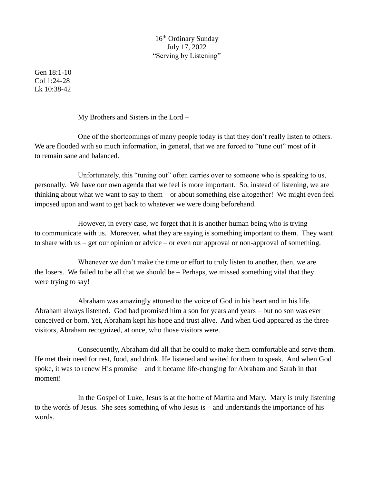16th Ordinary Sunday July 17, 2022 "Serving by Listening"

Gen 18:1-10 Col 1:24-28 Lk 10:38-42

My Brothers and Sisters in the Lord –

One of the shortcomings of many people today is that they don't really listen to others. We are flooded with so much information, in general, that we are forced to "tune out" most of it to remain sane and balanced.

Unfortunately, this "tuning out" often carries over to someone who is speaking to us, personally. We have our own agenda that we feel is more important. So, instead of listening, we are thinking about what we want to say to them – or about something else altogether! We might even feel imposed upon and want to get back to whatever we were doing beforehand.

However, in every case, we forget that it is another human being who is trying to communicate with us. Moreover, what they are saying is something important to them. They want to share with us – get our opinion or advice – or even our approval or non-approval of something.

Whenever we don't make the time or effort to truly listen to another, then, we are the losers. We failed to be all that we should be – Perhaps, we missed something vital that they were trying to say!

Abraham was amazingly attuned to the voice of God in his heart and in his life. Abraham always listened. God had promised him a son for years and years – but no son was ever conceived or born. Yet, Abraham kept his hope and trust alive. And when God appeared as the three visitors, Abraham recognized, at once, who those visitors were.

Consequently, Abraham did all that he could to make them comfortable and serve them. He met their need for rest, food, and drink. He listened and waited for them to speak. And when God spoke, it was to renew His promise – and it became life-changing for Abraham and Sarah in that moment!

In the Gospel of Luke, Jesus is at the home of Martha and Mary. Mary is truly listening to the words of Jesus. She sees something of who Jesus is – and understands the importance of his words.